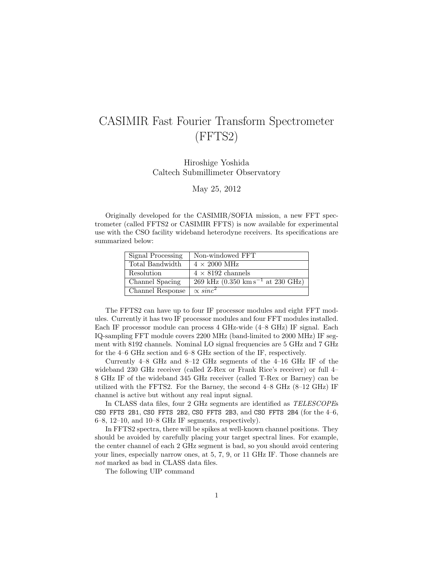## CASIMIR Fast Fourier Transform Spectrometer (FFTS2)

Hiroshige Yoshida Caltech Submillimeter Observatory

May 25, 2012

Originally developed for the CASIMIR/SOFIA mission, a new FFT spectrometer (called FFTS2 or CASIMIR FFTS) is now available for experimental use with the CSO facility wideband heterodyne receivers. Its specifications are summarized below:

| Signal Processing | Non-windowed FFT                                                |
|-------------------|-----------------------------------------------------------------|
| Total Bandwidth   | $4 \times 2000$ MHz                                             |
| Resolution        | $4 \times 8192$ channels                                        |
| Channel Spacing   | 269 kHz $(0.350 \text{ km s}^{-1} \text{ at } 230 \text{ GHz})$ |
| Channel Response  | $\propto sinc^2$                                                |

The FFTS2 can have up to four IF processor modules and eight FFT modules. Currently it has two IF processor modules and four FFT modules installed. Each IF processor module can process 4 GHz-wide (4–8 GHz) IF signal. Each IQ-sampling FFT module covers 2200 MHz (band-limited to 2000 MHz) IF segment with 8192 channels. Nominal LO signal frequencies are 5 GHz and 7 GHz for the 4–6 GHz section and 6–8 GHz section of the IF, respectively.

Currently 4–8 GHz and 8–12 GHz segments of the 4–16 GHz IF of the wideband 230 GHz receiver (called Z-Rex or Frank Rice's receiver) or full 4– 8 GHz IF of the wideband 345 GHz receiver (called T-Rex or Barney) can be utilized with the FFTS2. For the Barney, the second 4–8 GHz (8–12 GHz) IF channel is active but without any real input signal.

In CLASS data files, four 2 GHz segments are identified as TELESCOPEs CSO FFTS 2B1, CSO FFTS 2B2, CSO FFTS 2B3, and CSO FFTS 2B4 (for the  $4-6$ , 6–8, 12–10, and 10–8 GHz IF segments, respectively).

In FFTS2 spectra, there will be spikes at well-known channel positions. They should be avoided by carefully placing your target spectral lines. For example, the center channel of each 2 GHz segment is bad, so you should avoid centering your lines, especially narrow ones, at 5, 7, 9, or 11 GHz IF. Those channels are not marked as bad in CLASS data files.

The following UIP command